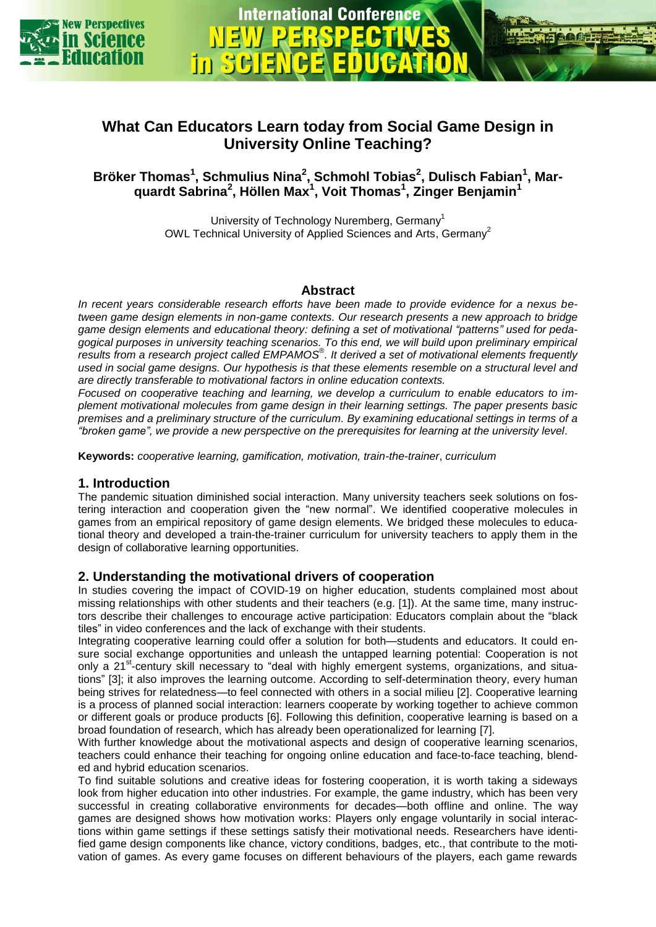

**International Conference** 

**Bröker Thomas<sup>1</sup> , Schmulius Nina<sup>2</sup> , Schmohl Tobias<sup>2</sup> , Dulisch Fabian<sup>1</sup> , Marquardt Sabrina<sup>2</sup> , Höllen Max<sup>1</sup> , Voit Thomas<sup>1</sup> , Zinger Benjamin<sup>1</sup>**

> University of Technology Nuremberg, Germany<sup>1</sup> OWL Technical University of Applied Sciences and Arts, Germany<sup>2</sup>

## **Abstract**

*In recent years considerable research efforts have been made to provide evidence for a nexus between game design elements in non-game contexts. Our research presents a new approach to bridge game design elements and educational theory: defining a set of motivational "patterns" used for pedagogical purposes in university teaching scenarios. To this end, we will build upon preliminary empirical results from a research project called EMPAMOS*® *. It derived a set of motivational elements frequently used in social game designs. Our hypothesis is that these elements resemble on a structural level and are directly transferable to motivational factors in online education contexts.*

*Focused on cooperative teaching and learning, we develop a curriculum to enable educators to implement motivational molecules from game design in their learning settings. The paper presents basic premises and a preliminary structure of the curriculum. By examining educational settings in terms of a "broken game", we provide a new perspective on the prerequisites for learning at the university level.*

**Keywords:** *cooperative learning, gamification, motivation, train-the-trainer*, *curriculum*

# **1. Introduction**

The pandemic situation diminished social interaction. Many university teachers seek solutions on fostering interaction and cooperation given the "new normal". We identified cooperative molecules in games from an empirical repository of game design elements. We bridged these molecules to educational theory and developed a train-the-trainer curriculum for university teachers to apply them in the design of collaborative learning opportunities.

### **2. Understanding the motivational drivers of cooperation**

In studies covering the impact of COVID-19 on higher education, students complained most about missing relationships with other students and their teachers (e.g. [1]). At the same time, many instructors describe their challenges to encourage active participation: Educators complain about the "black tiles" in video conferences and the lack of exchange with their students.

Integrating cooperative learning could offer a solution for both—students and educators. It could ensure social exchange opportunities and unleash the untapped learning potential: Cooperation is not only a 21<sup>st</sup>-century skill necessary to "deal with highly emergent systems, organizations, and situations" [3]; it also improves the learning outcome. According to self-determination theory, every human being strives for relatedness—to feel connected with others in a social milieu [2]. Cooperative learning is a process of planned social interaction: learners cooperate by working together to achieve common or different goals or produce products [6]. Following this definition, cooperative learning is based on a broad foundation of research, which has already been operationalized for learning [7].

With further knowledge about the motivational aspects and design of cooperative learning scenarios, teachers could enhance their teaching for ongoing online education and face-to-face teaching, blended and hybrid education scenarios.

To find suitable solutions and creative ideas for fostering cooperation, it is worth taking a sideways look from higher education into other industries. For example, the game industry, which has been very successful in creating collaborative environments for decades—both offline and online. The way games are designed shows how motivation works: Players only engage voluntarily in social interactions within game settings if these settings satisfy their motivational needs. Researchers have identified game design components like chance, victory conditions, badges, etc., that contribute to the motivation of games. As every game focuses on different behaviours of the players, each game rewards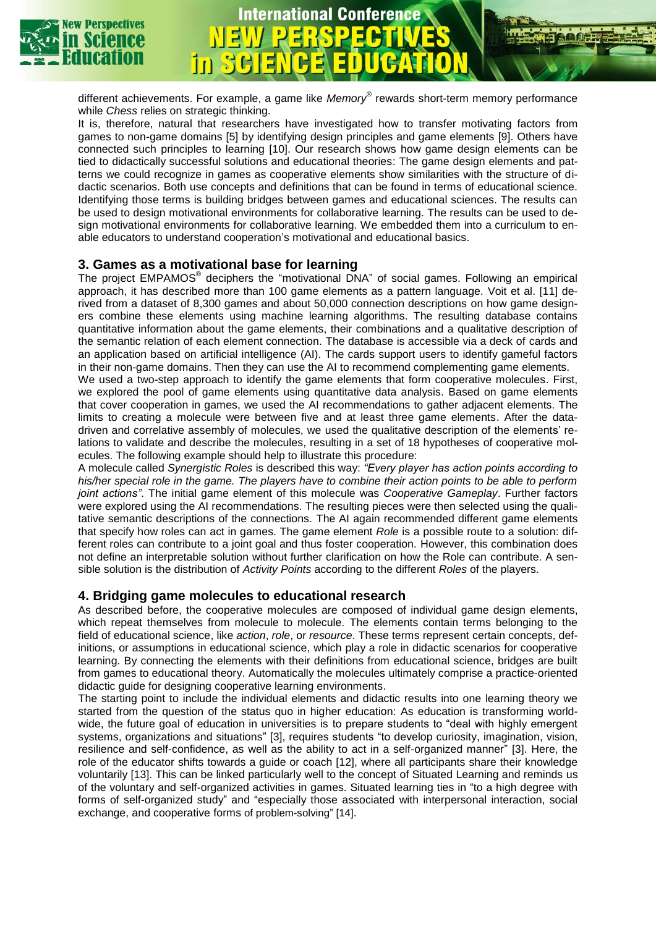

### different achievements. For example, a game like *Memory*® rewards short-term memory performance while *Chess* relies on strategic thinking.

**International Conference** 

It is, therefore, natural that researchers have investigated how to transfer motivating factors from games to non-game domains [5] by identifying design principles and game elements [9]. Others have connected such principles to learning [10]. Our research shows how game design elements can be tied to didactically successful solutions and educational theories: The game design elements and patterns we could recognize in games as cooperative elements show similarities with the structure of didactic scenarios. Both use concepts and definitions that can be found in terms of educational science. Identifying those terms is building bridges between games and educational sciences. The results can be used to design motivational environments for collaborative learning. The results can be used to design motivational environments for collaborative learning. We embedded them into a curriculum to enable educators to understand cooperation's motivational and educational basics.

## **3. Games as a motivational base for learning**

The project EMPAMOS<sup>®</sup> deciphers the "motivational DNA" of social games. Following an empirical approach, it has described more than 100 game elements as a pattern language. Voit et al. [11] derived from a dataset of 8,300 games and about 50,000 connection descriptions on how game designers combine these elements using machine learning algorithms. The resulting database contains quantitative information about the game elements, their combinations and a qualitative description of the semantic relation of each element connection. The database is accessible via a deck of cards and an application based on artificial intelligence (AI). The cards support users to identify gameful factors in their non-game domains. Then they can use the AI to recommend complementing game elements.

We used a two-step approach to identify the game elements that form cooperative molecules. First, we explored the pool of game elements using quantitative data analysis. Based on game elements that cover cooperation in games, we used the AI recommendations to gather adjacent elements. The limits to creating a molecule were between five and at least three game elements. After the datadriven and correlative assembly of molecules, we used the qualitative description of the elements' relations to validate and describe the molecules, resulting in a set of 18 hypotheses of cooperative molecules. The following example should help to illustrate this procedure:

A molecule called *Synergistic Roles* is described this way: *"Every player has action points according to his/her special role in the game. The players have to combine their action points to be able to perform joint actions"*. The initial game element of this molecule was *Cooperative Gameplay*. Further factors were explored using the AI recommendations. The resulting pieces were then selected using the qualitative semantic descriptions of the connections. The AI again recommended different game elements that specify how roles can act in games. The game element *Role* is a possible route to a solution: different roles can contribute to a joint goal and thus foster cooperation. However, this combination does not define an interpretable solution without further clarification on how the Role can contribute. A sensible solution is the distribution of *Activity Points* according to the different *Roles* of the players.

### **4. Bridging game molecules to educational research**

As described before, the cooperative molecules are composed of individual game design elements, which repeat themselves from molecule to molecule. The elements contain terms belonging to the field of educational science, like *action*, *role*, or *resource*. These terms represent certain concepts, definitions, or assumptions in educational science, which play a role in didactic scenarios for cooperative learning. By connecting the elements with their definitions from educational science, bridges are built from games to educational theory. Automatically the molecules ultimately comprise a practice-oriented didactic guide for designing cooperative learning environments.

The starting point to include the individual elements and didactic results into one learning theory we started from the question of the status quo in higher education: As education is transforming worldwide, the future goal of education in universities is to prepare students to "deal with highly emergent systems, organizations and situations" [3], requires students "to develop curiosity, imagination, vision, resilience and self-confidence, as well as the ability to act in a self-organized manner" [3]. Here, the role of the educator shifts towards a guide or coach [12], where all participants share their knowledge voluntarily [13]. This can be linked particularly well to the concept of Situated Learning and reminds us of the voluntary and self-organized activities in games. Situated learning ties in "to a high degree with forms of self-organized study" and "especially those associated with interpersonal interaction, social exchange, and cooperative forms of problem-solving" [14].